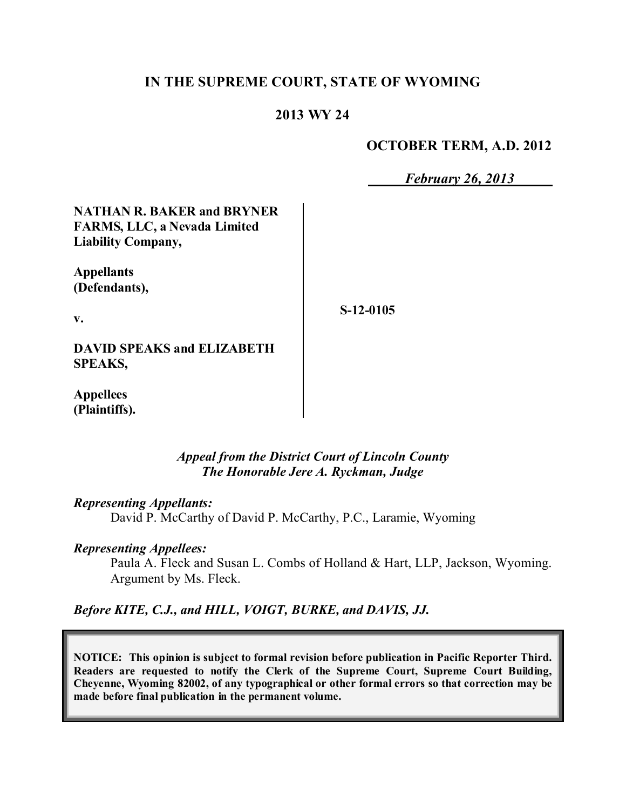### **IN THE SUPREME COURT, STATE OF WYOMING**

## **2013 WY 24**

#### **OCTOBER TERM, A.D. 2012**

*February 26, 2013*

**NATHAN R. BAKER and BRYNER FARMS, LLC, a Nevada Limited Liability Company,**

**Appellants (Defendants),**

**v.**

**S-12-0105**

**DAVID SPEAKS and ELIZABETH SPEAKS,**

**Appellees (Plaintiffs).**

#### *Appeal from the District Court of Lincoln County The Honorable Jere A. Ryckman, Judge*

*Representing Appellants:*

David P. McCarthy of David P. McCarthy, P.C., Laramie, Wyoming

#### *Representing Appellees:*

Paula A. Fleck and Susan L. Combs of Holland & Hart, LLP, Jackson, Wyoming. Argument by Ms. Fleck.

*Before KITE, C.J., and HILL, VOIGT, BURKE, and DAVIS, JJ.*

**NOTICE: This opinion is subject to formal revision before publication in Pacific Reporter Third. Readers are requested to notify the Clerk of the Supreme Court, Supreme Court Building, Cheyenne, Wyoming 82002, of any typographical or other formal errors so that correction may be made before final publication in the permanent volume.**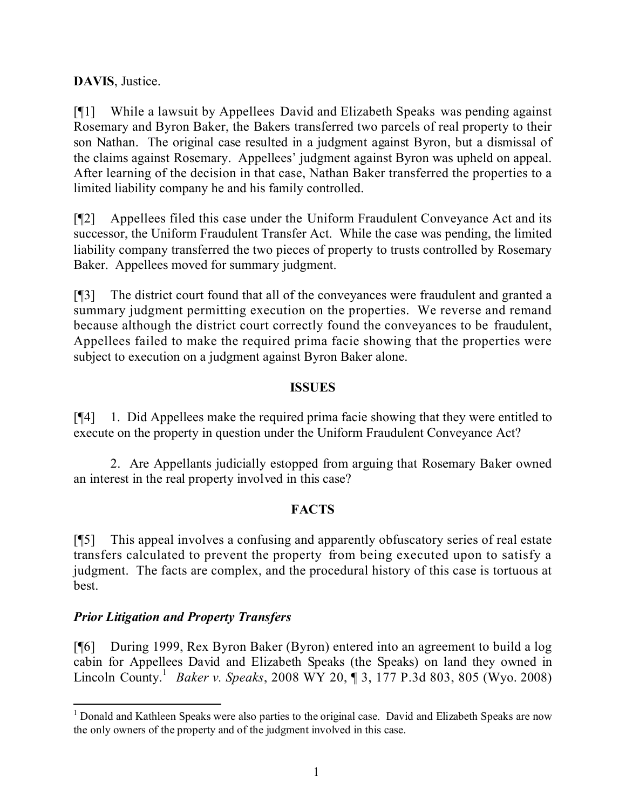### **DAVIS**, Justice.

[¶1] While a lawsuit by Appellees David and Elizabeth Speaks was pending against Rosemary and Byron Baker, the Bakers transferred two parcels of real property to their son Nathan. The original case resulted in a judgment against Byron, but a dismissal of the claims against Rosemary. Appellees' judgment against Byron was upheld on appeal. After learning of the decision in that case, Nathan Baker transferred the properties to a limited liability company he and his family controlled.

[¶2] Appellees filed this case under the Uniform Fraudulent Conveyance Act and its successor, the Uniform Fraudulent Transfer Act. While the case was pending, the limited liability company transferred the two pieces of property to trusts controlled by Rosemary Baker. Appellees moved for summary judgment.

[¶3] The district court found that all of the conveyances were fraudulent and granted a summary judgment permitting execution on the properties. We reverse and remand because although the district court correctly found the conveyances to be fraudulent, Appellees failed to make the required prima facie showing that the properties were subject to execution on a judgment against Byron Baker alone.

#### **ISSUES**

[¶4] 1. Did Appellees make the required prima facie showing that they were entitled to execute on the property in question under the Uniform Fraudulent Conveyance Act?

2. Are Appellants judicially estopped from arguing that Rosemary Baker owned an interest in the real property involved in this case?

### **FACTS**

[¶5] This appeal involves a confusing and apparently obfuscatory series of real estate transfers calculated to prevent the property from being executed upon to satisfy a judgment. The facts are complex, and the procedural history of this case is tortuous at best.

### *Prior Litigation and Property Transfers*

[¶6] During 1999, Rex Byron Baker (Byron) entered into an agreement to build a log cabin for Appellees David and Elizabeth Speaks (the Speaks) on land they owned in Lincoln County. 1 *Baker v. Speaks*, 2008 WY 20, ¶ 3, 177 P.3d 803, 805 (Wyo. 2008)

 $\overline{a}$ <sup>1</sup> Donald and Kathleen Speaks were also parties to the original case. David and Elizabeth Speaks are now the only owners of the property and of the judgment involved in this case.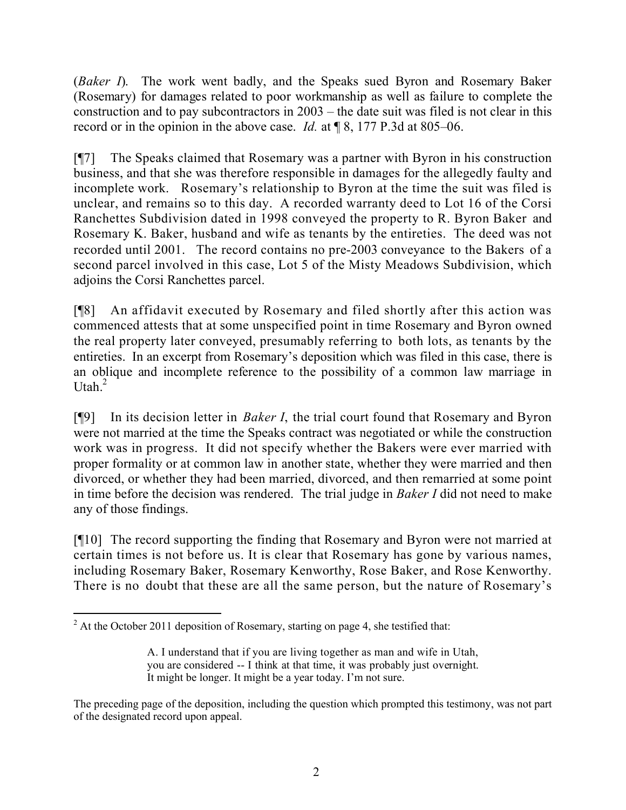(*Baker I*). The work went badly, and the Speaks sued Byron and Rosemary Baker (Rosemary) for damages related to poor workmanship as well as failure to complete the construction and to pay subcontractors in 2003 – the date suit was filed is not clear in this record or in the opinion in the above case. *Id.* at ¶ 8, 177 P.3d at 805–06.

[¶7] The Speaks claimed that Rosemary was a partner with Byron in his construction business, and that she was therefore responsible in damages for the allegedly faulty and incomplete work. Rosemary's relationship to Byron at the time the suit was filed is unclear, and remains so to this day. A recorded warranty deed to Lot 16 of the Corsi Ranchettes Subdivision dated in 1998 conveyed the property to R. Byron Baker and Rosemary K. Baker, husband and wife as tenants by the entireties. The deed was not recorded until 2001. The record contains no pre-2003 conveyance to the Bakers of a second parcel involved in this case, Lot 5 of the Misty Meadows Subdivision, which adjoins the Corsi Ranchettes parcel.

[¶8] An affidavit executed by Rosemary and filed shortly after this action was commenced attests that at some unspecified point in time Rosemary and Byron owned the real property later conveyed, presumably referring to both lots, as tenants by the entireties. In an excerpt from Rosemary's deposition which was filed in this case, there is an oblique and incomplete reference to the possibility of a common law marriage in Utah.<sup>2</sup>

[¶9] In its decision letter in *Baker I*, the trial court found that Rosemary and Byron were not married at the time the Speaks contract was negotiated or while the construction work was in progress. It did not specify whether the Bakers were ever married with proper formality or at common law in another state, whether they were married and then divorced, or whether they had been married, divorced, and then remarried at some point in time before the decision was rendered. The trial judge in *Baker I* did not need to make any of those findings.

[¶10] The record supporting the finding that Rosemary and Byron were not married at certain times is not before us. It is clear that Rosemary has gone by various names, including Rosemary Baker, Rosemary Kenworthy, Rose Baker, and Rose Kenworthy. There is no doubt that these are all the same person, but the nature of Rosemary's

 $\overline{a}$  $2^2$  At the October 2011 deposition of Rosemary, starting on page 4, she testified that:

A. I understand that if you are living together as man and wife in Utah, you are considered -- I think at that time, it was probably just overnight. It might be longer. It might be a year today. I'm not sure.

The preceding page of the deposition, including the question which prompted this testimony, was not part of the designated record upon appeal.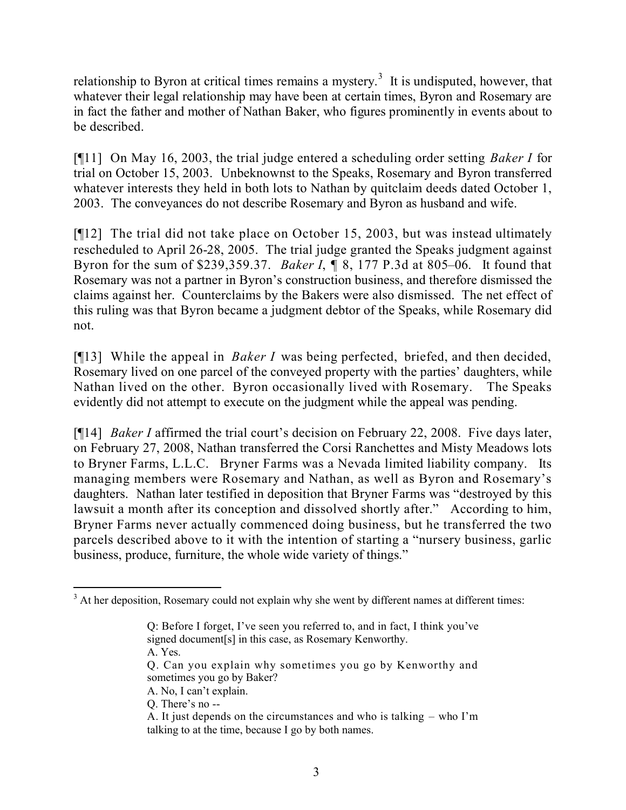relationship to Byron at critical times remains a mystery.<sup>3</sup> It is undisputed, however, that whatever their legal relationship may have been at certain times, Byron and Rosemary are in fact the father and mother of Nathan Baker, who figures prominently in events about to be described.

[¶11] On May 16, 2003, the trial judge entered a scheduling order setting *Baker I* for trial on October 15, 2003. Unbeknownst to the Speaks, Rosemary and Byron transferred whatever interests they held in both lots to Nathan by quitclaim deeds dated October 1, 2003. The conveyances do not describe Rosemary and Byron as husband and wife.

[¶12] The trial did not take place on October 15, 2003, but was instead ultimately rescheduled to April 26-28, 2005. The trial judge granted the Speaks judgment against Byron for the sum of \$239,359.37. *Baker I*, ¶ 8, 177 P.3d at 805–06. It found that Rosemary was not a partner in Byron's construction business, and therefore dismissed the claims against her. Counterclaims by the Bakers were also dismissed. The net effect of this ruling was that Byron became a judgment debtor of the Speaks, while Rosemary did not.

[¶13] While the appeal in *Baker I* was being perfected, briefed, and then decided, Rosemary lived on one parcel of the conveyed property with the parties' daughters, while Nathan lived on the other. Byron occasionally lived with Rosemary. The Speaks evidently did not attempt to execute on the judgment while the appeal was pending.

[¶14] *Baker I* affirmed the trial court's decision on February 22, 2008. Five days later, on February 27, 2008, Nathan transferred the Corsi Ranchettes and Misty Meadows lots to Bryner Farms, L.L.C. Bryner Farms was a Nevada limited liability company. Its managing members were Rosemary and Nathan, as well as Byron and Rosemary's daughters. Nathan later testified in deposition that Bryner Farms was "destroyed by this lawsuit a month after its conception and dissolved shortly after." According to him, Bryner Farms never actually commenced doing business, but he transferred the two parcels described above to it with the intention of starting a "nursery business, garlic business, produce, furniture, the whole wide variety of things."

A. Yes.

Q. There's no --

  $3$  At her deposition, Rosemary could not explain why she went by different names at different times:

Q: Before I forget, I've seen you referred to, and in fact, I think you've signed document[s] in this case, as Rosemary Kenworthy.

Q. Can you explain why sometimes you go by Kenworthy and sometimes you go by Baker?

A. No, I can't explain.

A. It just depends on the circumstances and who is talking – who I'm talking to at the time, because I go by both names.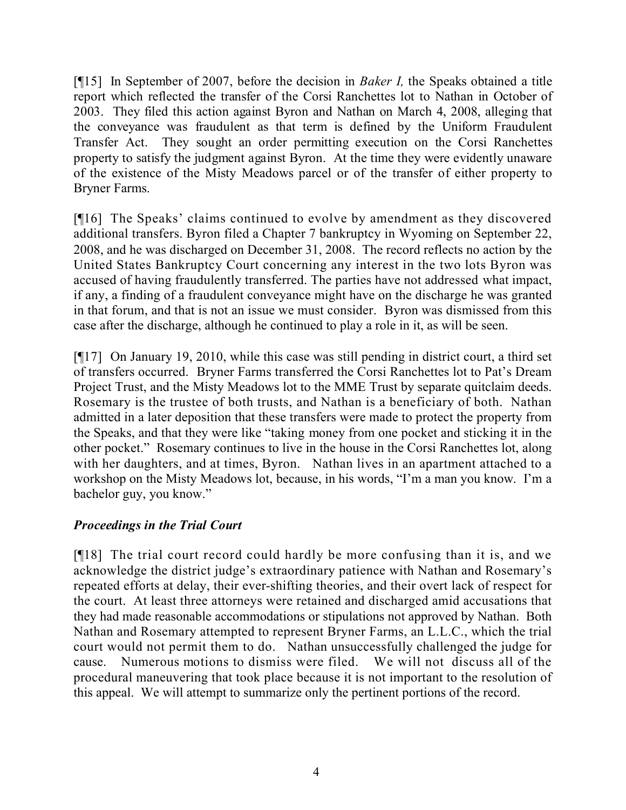[¶15] In September of 2007, before the decision in *Baker I,* the Speaks obtained a title report which reflected the transfer of the Corsi Ranchettes lot to Nathan in October of 2003. They filed this action against Byron and Nathan on March 4, 2008, alleging that the conveyance was fraudulent as that term is defined by the Uniform Fraudulent Transfer Act. They sought an order permitting execution on the Corsi Ranchettes property to satisfy the judgment against Byron. At the time they were evidently unaware of the existence of the Misty Meadows parcel or of the transfer of either property to Bryner Farms.

[¶16] The Speaks' claims continued to evolve by amendment as they discovered additional transfers. Byron filed a Chapter 7 bankruptcy in Wyoming on September 22, 2008, and he was discharged on December 31, 2008. The record reflects no action by the United States Bankruptcy Court concerning any interest in the two lots Byron was accused of having fraudulently transferred. The parties have not addressed what impact, if any, a finding of a fraudulent conveyance might have on the discharge he was granted in that forum, and that is not an issue we must consider. Byron was dismissed from this case after the discharge, although he continued to play a role in it, as will be seen.

[¶17] On January 19, 2010, while this case was still pending in district court, a third set of transfers occurred. Bryner Farms transferred the Corsi Ranchettes lot to Pat's Dream Project Trust, and the Misty Meadows lot to the MME Trust by separate quitclaim deeds. Rosemary is the trustee of both trusts, and Nathan is a beneficiary of both. Nathan admitted in a later deposition that these transfers were made to protect the property from the Speaks, and that they were like "taking money from one pocket and sticking it in the other pocket." Rosemary continues to live in the house in the Corsi Ranchettes lot, along with her daughters, and at times, Byron. Nathan lives in an apartment attached to a workshop on the Misty Meadows lot, because, in his words, "I'm a man you know. I'm a bachelor guy, you know."

# *Proceedings in the Trial Court*

[¶18] The trial court record could hardly be more confusing than it is, and we acknowledge the district judge's extraordinary patience with Nathan and Rosemary's repeated efforts at delay, their ever-shifting theories, and their overt lack of respect for the court. At least three attorneys were retained and discharged amid accusations that they had made reasonable accommodations or stipulations not approved by Nathan. Both Nathan and Rosemary attempted to represent Bryner Farms, an L.L.C., which the trial court would not permit them to do. Nathan unsuccessfully challenged the judge for cause. Numerous motions to dismiss were filed. We will not discuss all of the procedural maneuvering that took place because it is not important to the resolution of this appeal. We will attempt to summarize only the pertinent portions of the record.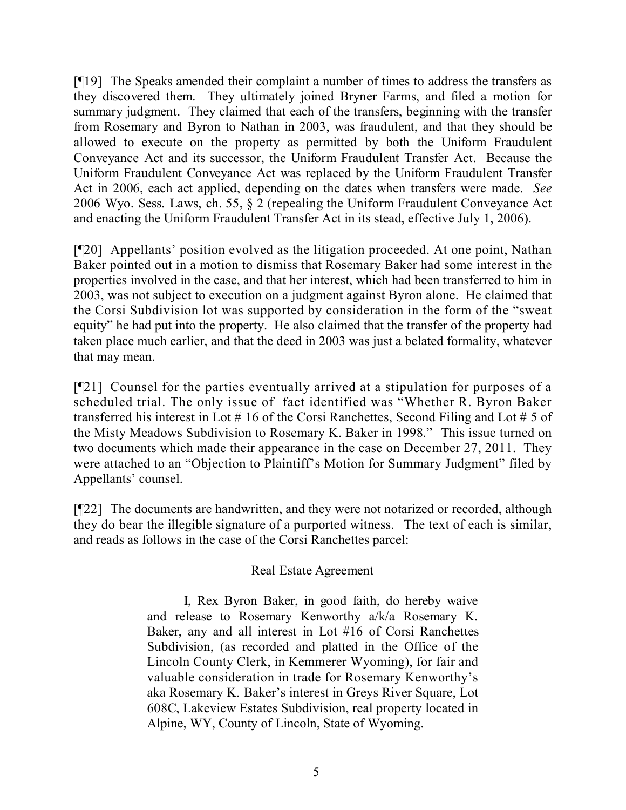[¶19] The Speaks amended their complaint a number of times to address the transfers as they discovered them. They ultimately joined Bryner Farms, and filed a motion for summary judgment. They claimed that each of the transfers, beginning with the transfer from Rosemary and Byron to Nathan in 2003, was fraudulent, and that they should be allowed to execute on the property as permitted by both the Uniform Fraudulent Conveyance Act and its successor, the Uniform Fraudulent Transfer Act. Because the Uniform Fraudulent Conveyance Act was replaced by the Uniform Fraudulent Transfer Act in 2006, each act applied, depending on the dates when transfers were made. *See* 2006 Wyo. Sess. Laws, ch. 55, § 2 (repealing the Uniform Fraudulent Conveyance Act and enacting the Uniform Fraudulent Transfer Act in its stead, effective July 1, 2006).

[¶20] Appellants' position evolved as the litigation proceeded. At one point, Nathan Baker pointed out in a motion to dismiss that Rosemary Baker had some interest in the properties involved in the case, and that her interest, which had been transferred to him in 2003, was not subject to execution on a judgment against Byron alone. He claimed that the Corsi Subdivision lot was supported by consideration in the form of the "sweat equity" he had put into the property. He also claimed that the transfer of the property had taken place much earlier, and that the deed in 2003 was just a belated formality, whatever that may mean.

[¶21] Counsel for the parties eventually arrived at a stipulation for purposes of a scheduled trial. The only issue of fact identified was "Whether R. Byron Baker transferred his interest in Lot # 16 of the Corsi Ranchettes, Second Filing and Lot # 5 of the Misty Meadows Subdivision to Rosemary K. Baker in 1998." This issue turned on two documents which made their appearance in the case on December 27, 2011. They were attached to an "Objection to Plaintiff's Motion for Summary Judgment" filed by Appellants' counsel.

[¶22] The documents are handwritten, and they were not notarized or recorded, although they do bear the illegible signature of a purported witness. The text of each is similar, and reads as follows in the case of the Corsi Ranchettes parcel:

### Real Estate Agreement

I, Rex Byron Baker, in good faith, do hereby waive and release to Rosemary Kenworthy a/k/a Rosemary K. Baker, any and all interest in Lot #16 of Corsi Ranchettes Subdivision, (as recorded and platted in the Office of the Lincoln County Clerk, in Kemmerer Wyoming), for fair and valuable consideration in trade for Rosemary Kenworthy's aka Rosemary K. Baker's interest in Greys River Square, Lot 608C, Lakeview Estates Subdivision, real property located in Alpine, WY, County of Lincoln, State of Wyoming.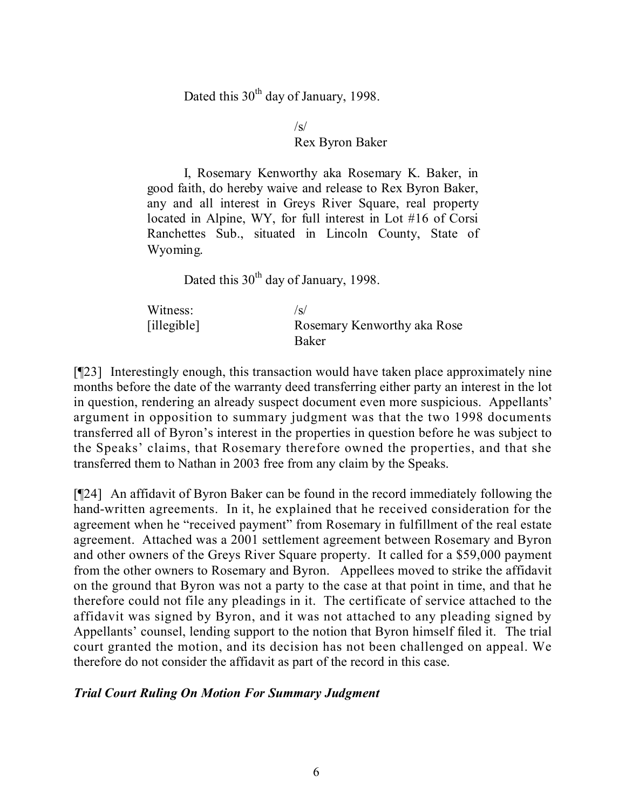Dated this  $30<sup>th</sup>$  day of January, 1998.

 $\sqrt{s}$ 

#### Rex Byron Baker

I, Rosemary Kenworthy aka Rosemary K. Baker, in good faith, do hereby waive and release to Rex Byron Baker, any and all interest in Greys River Square, real property located in Alpine, WY, for full interest in Lot #16 of Corsi Ranchettes Sub., situated in Lincoln County, State of Wyoming.

Dated this  $30<sup>th</sup>$  day of January, 1998.

| Witness:           | /s/                         |
|--------------------|-----------------------------|
| $[i]$ llegible $]$ | Rosemary Kenworthy aka Rose |
|                    | <b>Baker</b>                |

[¶23] Interestingly enough, this transaction would have taken place approximately nine months before the date of the warranty deed transferring either party an interest in the lot in question, rendering an already suspect document even more suspicious. Appellants' argument in opposition to summary judgment was that the two 1998 documents transferred all of Byron's interest in the properties in question before he was subject to the Speaks' claims, that Rosemary therefore owned the properties, and that she transferred them to Nathan in 2003 free from any claim by the Speaks.

[¶24] An affidavit of Byron Baker can be found in the record immediately following the hand-written agreements. In it, he explained that he received consideration for the agreement when he "received payment" from Rosemary in fulfillment of the real estate agreement. Attached was a 2001 settlement agreement between Rosemary and Byron and other owners of the Greys River Square property. It called for a \$59,000 payment from the other owners to Rosemary and Byron. Appellees moved to strike the affidavit on the ground that Byron was not a party to the case at that point in time, and that he therefore could not file any pleadings in it. The certificate of service attached to the affidavit was signed by Byron, and it was not attached to any pleading signed by Appellants' counsel, lending support to the notion that Byron himself filed it. The trial court granted the motion, and its decision has not been challenged on appeal. We therefore do not consider the affidavit as part of the record in this case.

### *Trial Court Ruling On Motion For Summary Judgment*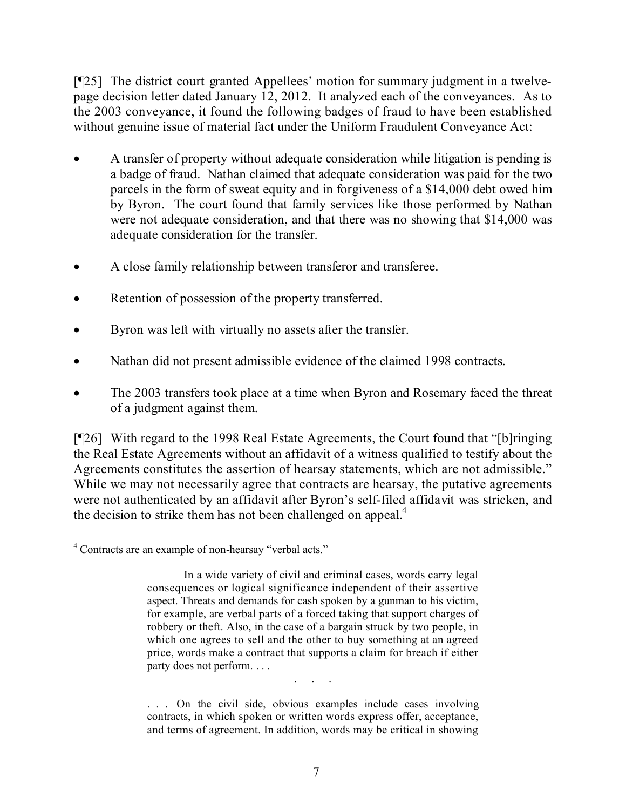[¶25] The district court granted Appellees' motion for summary judgment in a twelvepage decision letter dated January 12, 2012. It analyzed each of the conveyances. As to the 2003 conveyance, it found the following badges of fraud to have been established without genuine issue of material fact under the Uniform Fraudulent Conveyance Act:

- A transfer of property without adequate consideration while litigation is pending is a badge of fraud. Nathan claimed that adequate consideration was paid for the two parcels in the form of sweat equity and in forgiveness of a \$14,000 debt owed him by Byron. The court found that family services like those performed by Nathan were not adequate consideration, and that there was no showing that \$14,000 was adequate consideration for the transfer.
- A close family relationship between transferor and transferee.
- Retention of possession of the property transferred.
- Byron was left with virtually no assets after the transfer.
- Nathan did not present admissible evidence of the claimed 1998 contracts.
- The 2003 transfers took place at a time when Byron and Rosemary faced the threat of a judgment against them.

[¶26] With regard to the 1998 Real Estate Agreements, the Court found that "[b]ringing the Real Estate Agreements without an affidavit of a witness qualified to testify about the Agreements constitutes the assertion of hearsay statements, which are not admissible." While we may not necessarily agree that contracts are hearsay, the putative agreements were not authenticated by an affidavit after Byron's self-filed affidavit was stricken, and the decision to strike them has not been challenged on appeal.<sup>4</sup>

. . . On the civil side, obvious examples include cases involving contracts, in which spoken or written words express offer, acceptance, and terms of agreement. In addition, words may be critical in showing

. . . . .

 $\overline{a}$ <sup>4</sup> Contracts are an example of non-hearsay "verbal acts."

In a wide variety of civil and criminal cases, words carry legal consequences or logical significance independent of their assertive aspect. Threats and demands for cash spoken by a gunman to his victim, for example, are verbal parts of a forced taking that support charges of robbery or theft. Also, in the case of a bargain struck by two people, in which one agrees to sell and the other to buy something at an agreed price, words make a contract that supports a claim for breach if either party does not perform. . . .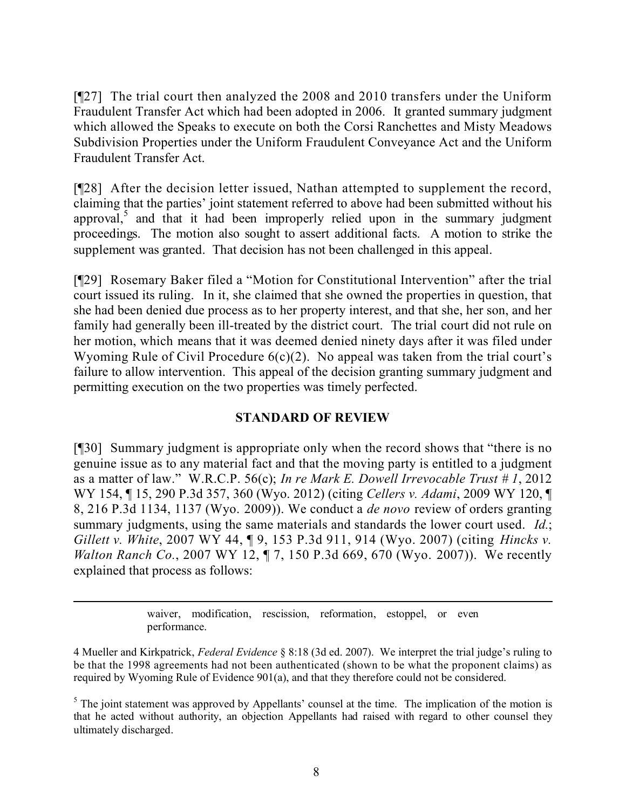[¶27] The trial court then analyzed the 2008 and 2010 transfers under the Uniform Fraudulent Transfer Act which had been adopted in 2006. It granted summary judgment which allowed the Speaks to execute on both the Corsi Ranchettes and Misty Meadows Subdivision Properties under the Uniform Fraudulent Conveyance Act and the Uniform Fraudulent Transfer Act.

[¶28] After the decision letter issued, Nathan attempted to supplement the record, claiming that the parties' joint statement referred to above had been submitted without his approval,<sup>5</sup> and that it had been improperly relied upon in the summary judgment proceedings. The motion also sought to assert additional facts. A motion to strike the supplement was granted. That decision has not been challenged in this appeal.

[¶29] Rosemary Baker filed a "Motion for Constitutional Intervention" after the trial court issued its ruling. In it, she claimed that she owned the properties in question, that she had been denied due process as to her property interest, and that she, her son, and her family had generally been ill-treated by the district court. The trial court did not rule on her motion, which means that it was deemed denied ninety days after it was filed under Wyoming Rule of Civil Procedure  $6(c)(2)$ . No appeal was taken from the trial court's failure to allow intervention. This appeal of the decision granting summary judgment and permitting execution on the two properties was timely perfected.

# **STANDARD OF REVIEW**

[¶30] Summary judgment is appropriate only when the record shows that "there is no genuine issue as to any material fact and that the moving party is entitled to a judgment as a matter of law." W.R.C.P. 56(c); *In re Mark E. Dowell Irrevocable Trust # 1*, 2012 WY 154, ¶ 15, 290 P.3d 357, 360 (Wyo. 2012) (citing *Cellers v. Adami*, 2009 WY 120, ¶ 8, 216 P.3d 1134, 1137 (Wyo. 2009)). We conduct a *de novo* review of orders granting summary judgments, using the same materials and standards the lower court used. *Id.*; *Gillett v. White*, 2007 WY 44, ¶ 9, 153 P.3d 911, 914 (Wyo. 2007) (citing *Hincks v. Walton Ranch Co.*, 2007 WY 12, ¶ 7, 150 P.3d 669, 670 (Wyo. 2007)). We recently explained that process as follows:

> waiver, modification, rescission, reformation, estoppel, or even performance.

 $\overline{a}$ 

<sup>4</sup> Mueller and Kirkpatrick, *Federal Evidence* § 8:18 (3d ed. 2007). We interpret the trial judge's ruling to be that the 1998 agreements had not been authenticated (shown to be what the proponent claims) as required by Wyoming Rule of Evidence 901(a), and that they therefore could not be considered.

<sup>&</sup>lt;sup>5</sup> The joint statement was approved by Appellants' counsel at the time. The implication of the motion is that he acted without authority, an objection Appellants had raised with regard to other counsel they ultimately discharged.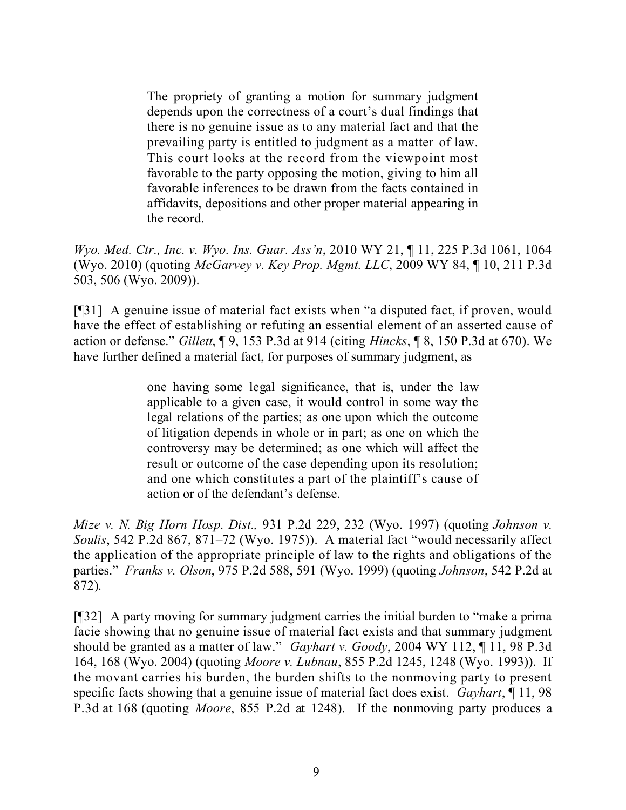The propriety of granting a motion for summary judgment depends upon the correctness of a court's dual findings that there is no genuine issue as to any material fact and that the prevailing party is entitled to judgment as a matter of law. This court looks at the record from the viewpoint most favorable to the party opposing the motion, giving to him all favorable inferences to be drawn from the facts contained in affidavits, depositions and other proper material appearing in the record.

*Wyo. Med. Ctr., Inc. v. Wyo. Ins. Guar. Ass'n*, 2010 WY 21, ¶ 11, 225 P.3d 1061, 1064 (Wyo. 2010) (quoting *McGarvey v. Key Prop. Mgmt. LLC*, 2009 WY 84, ¶ 10, 211 P.3d 503, 506 (Wyo. 2009)).

[¶31] A genuine issue of material fact exists when "a disputed fact, if proven, would have the effect of establishing or refuting an essential element of an asserted cause of action or defense." *Gillett*, ¶ 9, 153 P.3d at 914 (citing *Hincks*, ¶ 8, 150 P.3d at 670). We have further defined a material fact, for purposes of summary judgment, as

> one having some legal significance, that is, under the law applicable to a given case, it would control in some way the legal relations of the parties; as one upon which the outcome of litigation depends in whole or in part; as one on which the controversy may be determined; as one which will affect the result or outcome of the case depending upon its resolution; and one which constitutes a part of the plaintiff's cause of action or of the defendant's defense.

*Mize v. N. Big Horn Hosp. Dist.,* 931 P.2d 229, 232 (Wyo. 1997) (quoting *Johnson v. Soulis*, 542 P.2d 867, 871–72 (Wyo. 1975)). A material fact "would necessarily affect the application of the appropriate principle of law to the rights and obligations of the parties." *Franks v. Olson*, 975 P.2d 588, 591 (Wyo. 1999) (quoting *Johnson*, 542 P.2d at 872).

[¶32] A party moving for summary judgment carries the initial burden to "make a prima facie showing that no genuine issue of material fact exists and that summary judgment should be granted as a matter of law." *Gayhart v. Goody*, 2004 WY 112, ¶ 11, 98 P.3d 164, 168 (Wyo. 2004) (quoting *Moore v. Lubnau*, 855 P.2d 1245, 1248 (Wyo. 1993)). If the movant carries his burden, the burden shifts to the nonmoving party to present specific facts showing that a genuine issue of material fact does exist. *Gayhart*, ¶ 11, 98 P.3d at 168 (quoting *Moore*, 855 P.2d at 1248). If the nonmoving party produces a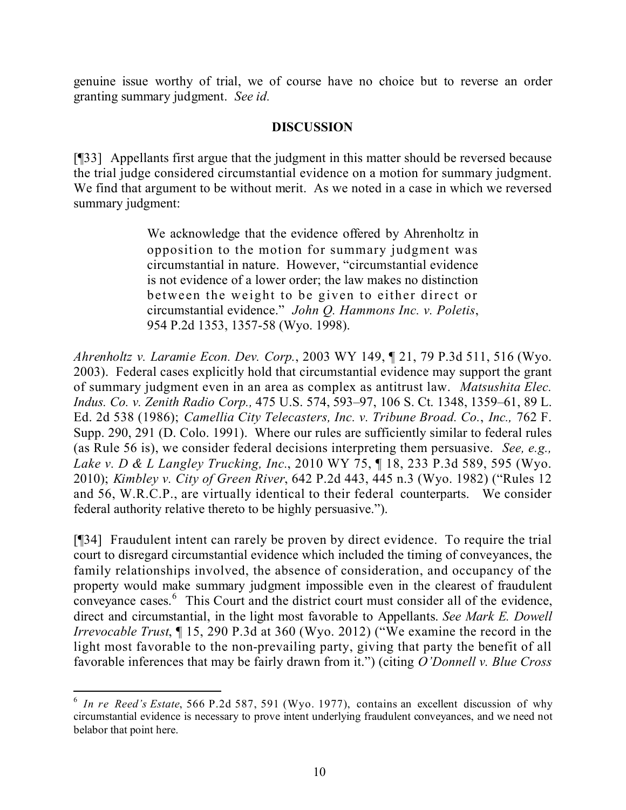genuine issue worthy of trial, we of course have no choice but to reverse an order granting summary judgment. *See id.*

### **DISCUSSION**

[¶33] Appellants first argue that the judgment in this matter should be reversed because the trial judge considered circumstantial evidence on a motion for summary judgment. We find that argument to be without merit. As we noted in a case in which we reversed summary judgment:

> We acknowledge that the evidence offered by Ahrenholtz in opposition to the motion for summary judgment was circumstantial in nature. However, "circumstantial evidence is not evidence of a lower order; the law makes no distinction between the weight to be given to either direct or circumstantial evidence." *John Q. Hammons Inc. v. Poletis*, 954 P.2d 1353, 1357-58 (Wyo. 1998).

*Ahrenholtz v. Laramie Econ. Dev. Corp.*, 2003 WY 149, ¶ 21, 79 P.3d 511, 516 (Wyo. 2003). Federal cases explicitly hold that circumstantial evidence may support the grant of summary judgment even in an area as complex as antitrust law. *Matsushita Elec. Indus. Co. v. Zenith Radio Corp.,* 475 U.S. 574, 593–97, 106 S. Ct. 1348, 1359–61, 89 L. Ed. 2d 538 (1986); *Camellia City Telecasters, Inc. v. Tribune Broad. Co.*, *Inc.,* 762 F. Supp. 290, 291 (D. Colo. 1991). Where our rules are sufficiently similar to federal rules (as Rule 56 is), we consider federal decisions interpreting them persuasive. *See, e.g., Lake v. D & L Langley Trucking, Inc.*, 2010 WY 75, ¶ 18, 233 P.3d 589, 595 (Wyo. 2010); *Kimbley v. City of Green River*, 642 P.2d 443, 445 n.3 (Wyo. 1982) ("Rules 12 and 56, W.R.C.P., are virtually identical to their federal counterparts. We consider federal authority relative thereto to be highly persuasive.").

[¶34] Fraudulent intent can rarely be proven by direct evidence. To require the trial court to disregard circumstantial evidence which included the timing of conveyances, the family relationships involved, the absence of consideration, and occupancy of the property would make summary judgment impossible even in the clearest of fraudulent conveyance cases.<sup>6</sup> This Court and the district court must consider all of the evidence, direct and circumstantial, in the light most favorable to Appellants. *See Mark E. Dowell Irrevocable Trust*, ¶ 15, 290 P.3d at 360 (Wyo. 2012) ("We examine the record in the light most favorable to the non-prevailing party, giving that party the benefit of all favorable inferences that may be fairly drawn from it.") (citing *O'Donnell v. Blue Cross* 

<sup>6</sup> *In re Reed's Estate*, 566 P.2d 587, 591 (Wyo. 1977), contains an excellent discussion of why circumstantial evidence is necessary to prove intent underlying fraudulent conveyances, and we need not belabor that point here.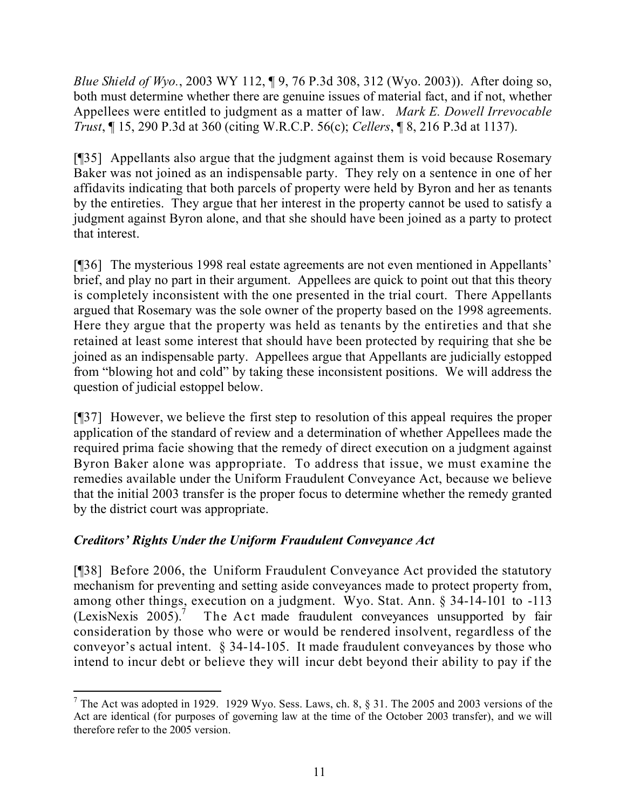*Blue Shield of Wyo.*, 2003 WY 112, ¶ 9, 76 P.3d 308, 312 (Wyo. 2003)). After doing so, both must determine whether there are genuine issues of material fact, and if not, whether Appellees were entitled to judgment as a matter of law. *Mark E. Dowell Irrevocable Trust*, ¶ 15, 290 P.3d at 360 (citing W.R.C.P. 56(c); *Cellers*, ¶ 8, 216 P.3d at 1137).

[¶35] Appellants also argue that the judgment against them is void because Rosemary Baker was not joined as an indispensable party. They rely on a sentence in one of her affidavits indicating that both parcels of property were held by Byron and her as tenants by the entireties. They argue that her interest in the property cannot be used to satisfy a judgment against Byron alone, and that she should have been joined as a party to protect that interest.

[¶36] The mysterious 1998 real estate agreements are not even mentioned in Appellants' brief, and play no part in their argument. Appellees are quick to point out that this theory is completely inconsistent with the one presented in the trial court. There Appellants argued that Rosemary was the sole owner of the property based on the 1998 agreements. Here they argue that the property was held as tenants by the entireties and that she retained at least some interest that should have been protected by requiring that she be joined as an indispensable party. Appellees argue that Appellants are judicially estopped from "blowing hot and cold" by taking these inconsistent positions. We will address the question of judicial estoppel below.

[¶37] However, we believe the first step to resolution of this appeal requires the proper application of the standard of review and a determination of whether Appellees made the required prima facie showing that the remedy of direct execution on a judgment against Byron Baker alone was appropriate. To address that issue, we must examine the remedies available under the Uniform Fraudulent Conveyance Act, because we believe that the initial 2003 transfer is the proper focus to determine whether the remedy granted by the district court was appropriate.

# *Creditors' Rights Under the Uniform Fraudulent Conveyance Act*

[¶38] Before 2006, the Uniform Fraudulent Conveyance Act provided the statutory mechanism for preventing and setting aside conveyances made to protect property from, among other things, execution on a judgment. Wyo. Stat. Ann. § 34-14-101 to -113  $(LexisNexis 2005).$ <sup>7</sup> The Act made fraudulent conveyances unsupported by fair consideration by those who were or would be rendered insolvent, regardless of the conveyor's actual intent. § 34-14-105. It made fraudulent conveyances by those who intend to incur debt or believe they will incur debt beyond their ability to pay if the

  $<sup>7</sup>$  The Act was adopted in 1929. 1929 Wyo. Sess. Laws, ch. 8,  $§$  31. The 2005 and 2003 versions of the</sup> Act are identical (for purposes of governing law at the time of the October 2003 transfer), and we will therefore refer to the 2005 version.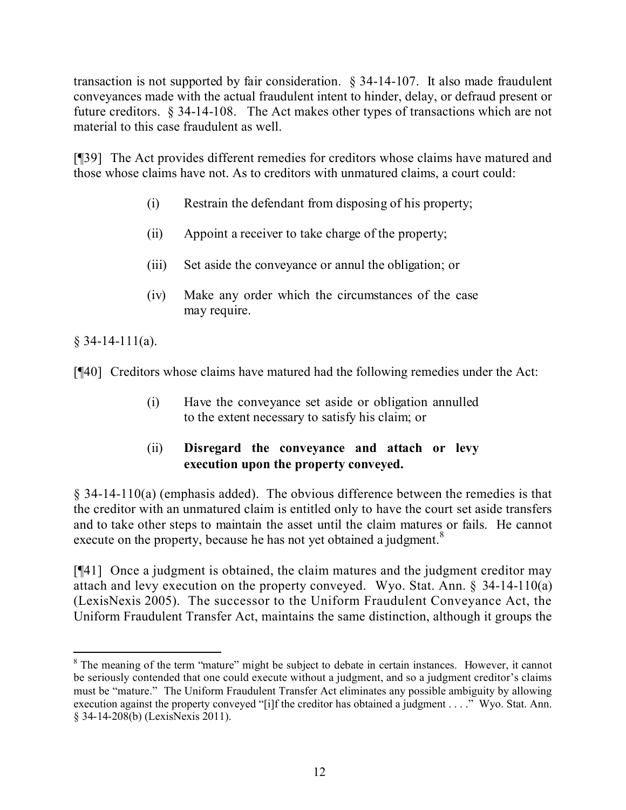transaction is not supported by fair consideration. § 34-14-107. It also made fraudulent conveyances made with the actual fraudulent intent to hinder, delay, or defraud present or future creditors. § 34-14-108. The Act makes other types of transactions which are not material to this case fraudulent as well.

[¶39] The Act provides different remedies for creditors whose claims have matured and those whose claims have not. As to creditors with unmatured claims, a court could:

- (i) Restrain the defendant from disposing of his property;
- (ii) Appoint a receiver to take charge of the property;
- (iii) Set aside the conveyance or annul the obligation; or
- (iv) Make any order which the circumstances of the case may require.

 $§$  34-14-111(a).

[¶40] Creditors whose claims have matured had the following remedies under the Act:

- (i) Have the conveyance set aside or obligation annulled to the extent necessary to satisfy his claim; or
- (ii) **Disregard the conveyance and attach or levy execution upon the property conveyed.**

 $\S$  34-14-110(a) (emphasis added). The obvious difference between the remedies is that the creditor with an unmatured claim is entitled only to have the court set aside transfers and to take other steps to maintain the asset until the claim matures or fails. He cannot execute on the property, because he has not yet obtained a judgment.<sup>8</sup>

[¶41] Once a judgment is obtained, the claim matures and the judgment creditor may attach and levy execution on the property conveyed. Wyo. Stat. Ann. § 34-14-110(a) (LexisNexis 2005). The successor to the Uniform Fraudulent Conveyance Act, the Uniform Fraudulent Transfer Act, maintains the same distinction, although it groups the

 <sup>8</sup> The meaning of the term "mature" might be subject to debate in certain instances. However, it cannot be seriously contended that one could execute without a judgment, and so a judgment creditor's claims must be "mature." The Uniform Fraudulent Transfer Act eliminates any possible ambiguity by allowing execution against the property conveyed "[i]f the creditor has obtained a judgment . . . ." Wyo. Stat. Ann. § 34-14-208(b) (LexisNexis 2011).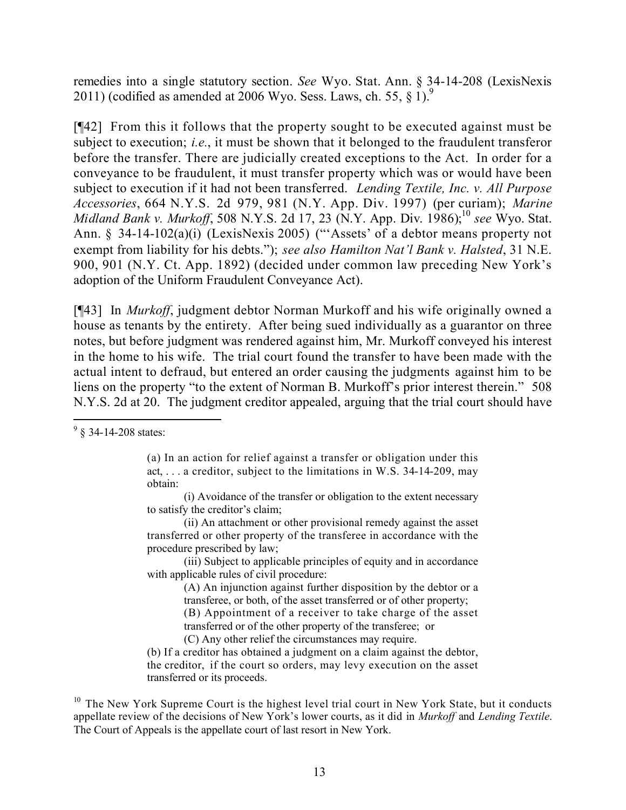remedies into a single statutory section. *See* Wyo. Stat. Ann. § 34-14-208 (LexisNexis 2011) (codified as amended at 2006 Wyo. Sess. Laws, ch. 55,  $\S$  1).

[¶42] From this it follows that the property sought to be executed against must be subject to execution; *i.e.*, it must be shown that it belonged to the fraudulent transferor before the transfer. There are judicially created exceptions to the Act. In order for a conveyance to be fraudulent, it must transfer property which was or would have been subject to execution if it had not been transferred. *Lending Textile, Inc. v. All Purpose Accessories*, 664 N.Y.S. 2d 979, 981 (N.Y. App. Div. 1997) (per curiam); *Marine Midland Bank v. Murkoff*, 508 N.Y.S. 2d 17, 23 (N.Y. App. Div. 1986); 10 *see* Wyo. Stat. Ann. § 34-14-102(a)(i) (LexisNexis 2005) ("'Assets' of a debtor means property not exempt from liability for his debts."); *see also Hamilton Nat'l Bank v. Halsted*, 31 N.E. 900, 901 (N.Y. Ct. App. 1892) (decided under common law preceding New York's adoption of the Uniform Fraudulent Conveyance Act).

[¶43] In *Murkoff*, judgment debtor Norman Murkoff and his wife originally owned a house as tenants by the entirety. After being sued individually as a guarantor on three notes, but before judgment was rendered against him, Mr. Murkoff conveyed his interest in the home to his wife. The trial court found the transfer to have been made with the actual intent to defraud, but entered an order causing the judgments against him to be liens on the property "to the extent of Norman B. Murkoff's prior interest therein." 508 N.Y.S. 2d at 20. The judgment creditor appealed, arguing that the trial court should have

 $\overline{a}$ 

(a) In an action for relief against a transfer or obligation under this act, . . . a creditor, subject to the limitations in W.S. 34-14-209, may obtain:

(i) Avoidance of the transfer or obligation to the extent necessary to satisfy the creditor's claim;

(ii) An attachment or other provisional remedy against the asset transferred or other property of the transferee in accordance with the procedure prescribed by law;

(iii) Subject to applicable principles of equity and in accordance with applicable rules of civil procedure:

(A) An injunction against further disposition by the debtor or a transferee, or both, of the asset transferred or of other property;

(B) Appointment of a receiver to take charge of the asset

transferred or of the other property of the transferee; or

(C) Any other relief the circumstances may require.

(b) If a creditor has obtained a judgment on a claim against the debtor, the creditor, if the court so orders, may levy execution on the asset transferred or its proceeds.

<sup>10</sup> The New York Supreme Court is the highest level trial court in New York State, but it conducts appellate review of the decisions of New York's lower courts, as it did in *Murkoff* and *Lending Textile*. The Court of Appeals is the appellate court of last resort in New York.

 $9\%$  34-14-208 states: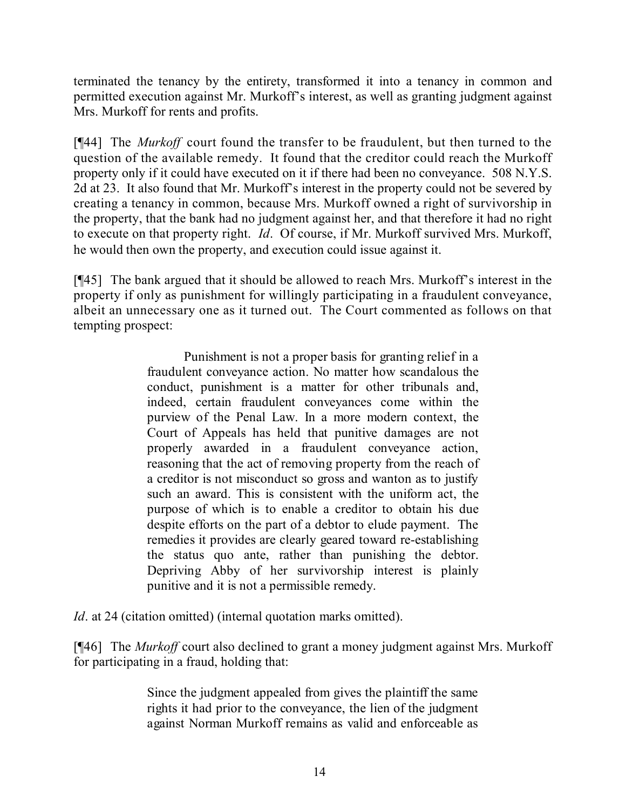terminated the tenancy by the entirety, transformed it into a tenancy in common and permitted execution against Mr. Murkoff's interest, as well as granting judgment against Mrs. Murkoff for rents and profits.

[¶44] The *Murkoff* court found the transfer to be fraudulent, but then turned to the question of the available remedy. It found that the creditor could reach the Murkoff property only if it could have executed on it if there had been no conveyance. 508 N.Y.S. 2d at 23. It also found that Mr. Murkoff's interest in the property could not be severed by creating a tenancy in common, because Mrs. Murkoff owned a right of survivorship in the property, that the bank had no judgment against her, and that therefore it had no right to execute on that property right. *Id*. Of course, if Mr. Murkoff survived Mrs. Murkoff, he would then own the property, and execution could issue against it.

[¶45] The bank argued that it should be allowed to reach Mrs. Murkoff's interest in the property if only as punishment for willingly participating in a fraudulent conveyance, albeit an unnecessary one as it turned out. The Court commented as follows on that tempting prospect:

> Punishment is not a proper basis for granting relief in a fraudulent conveyance action. No matter how scandalous the conduct, punishment is a matter for other tribunals and, indeed, certain fraudulent conveyances come within the purview of the Penal Law. In a more modern context, the Court of Appeals has held that punitive damages are not properly awarded in a fraudulent conveyance action, reasoning that the act of removing property from the reach of a creditor is not misconduct so gross and wanton as to justify such an award. This is consistent with the uniform act, the purpose of which is to enable a creditor to obtain his due despite efforts on the part of a debtor to elude payment. The remedies it provides are clearly geared toward re-establishing the status quo ante, rather than punishing the debtor. Depriving Abby of her survivorship interest is plainly punitive and it is not a permissible remedy.

*Id*. at 24 (citation omitted) (internal quotation marks omitted).

[¶46] The *Murkoff* court also declined to grant a money judgment against Mrs. Murkoff for participating in a fraud, holding that:

> Since the judgment appealed from gives the plaintiff the same rights it had prior to the conveyance, the lien of the judgment against Norman Murkoff remains as valid and enforceable as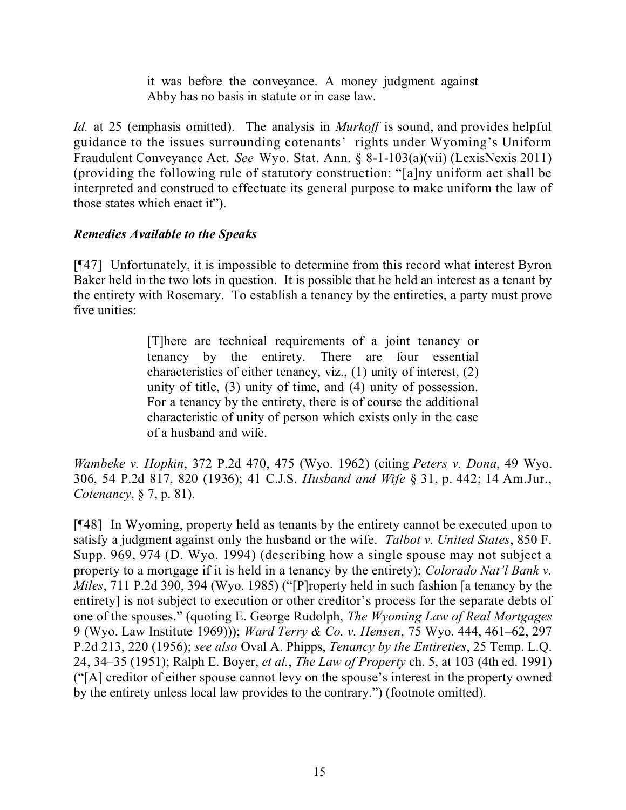it was before the conveyance. A money judgment against Abby has no basis in statute or in case law.

*Id.* at 25 (emphasis omitted). The analysis in *Murkoff* is sound, and provides helpful guidance to the issues surrounding cotenants' rights under Wyoming's Uniform Fraudulent Conveyance Act. *See* Wyo. Stat. Ann. § 8-1-103(a)(vii) (LexisNexis 2011) (providing the following rule of statutory construction: "[a]ny uniform act shall be interpreted and construed to effectuate its general purpose to make uniform the law of those states which enact it").

# *Remedies Available to the Speaks*

[¶47] Unfortunately, it is impossible to determine from this record what interest Byron Baker held in the two lots in question. It is possible that he held an interest as a tenant by the entirety with Rosemary. To establish a tenancy by the entireties, a party must prove five unities:

> [T]here are technical requirements of a joint tenancy or tenancy by the entirety. There are four essential characteristics of either tenancy, viz., (1) unity of interest, (2) unity of title, (3) unity of time, and (4) unity of possession. For a tenancy by the entirety, there is of course the additional characteristic of unity of person which exists only in the case of a husband and wife.

*Wambeke v. Hopkin*, 372 P.2d 470, 475 (Wyo. 1962) (citing *Peters v. Dona*, 49 Wyo. 306, 54 P.2d 817, 820 (1936); 41 C.J.S. *Husband and Wife* § 31, p. 442; 14 Am.Jur., *Cotenancy*, § 7, p. 81).

[¶48] In Wyoming, property held as tenants by the entirety cannot be executed upon to satisfy a judgment against only the husband or the wife. *Talbot v. United States*, 850 F. Supp. 969, 974 (D. Wyo. 1994) (describing how a single spouse may not subject a property to a mortgage if it is held in a tenancy by the entirety); *Colorado Nat'l Bank v. Miles*, 711 P.2d 390, 394 (Wyo. 1985) ("[P]roperty held in such fashion [a tenancy by the entirety] is not subject to execution or other creditor's process for the separate debts of one of the spouses." (quoting E. George Rudolph, *The Wyoming Law of Real Mortgages* 9 (Wyo. Law Institute 1969))); *Ward Terry & Co. v. Hensen*, 75 Wyo. 444, 461–62, 297 P.2d 213, 220 (1956); *see also* Oval A. Phipps, *Tenancy by the Entireties*, 25 Temp. L.Q. 24, 34–35 (1951); Ralph E. Boyer, *et al.*, *The Law of Property* ch. 5, at 103 (4th ed. 1991) ("[A] creditor of either spouse cannot levy on the spouse's interest in the property owned by the entirety unless local law provides to the contrary.") (footnote omitted).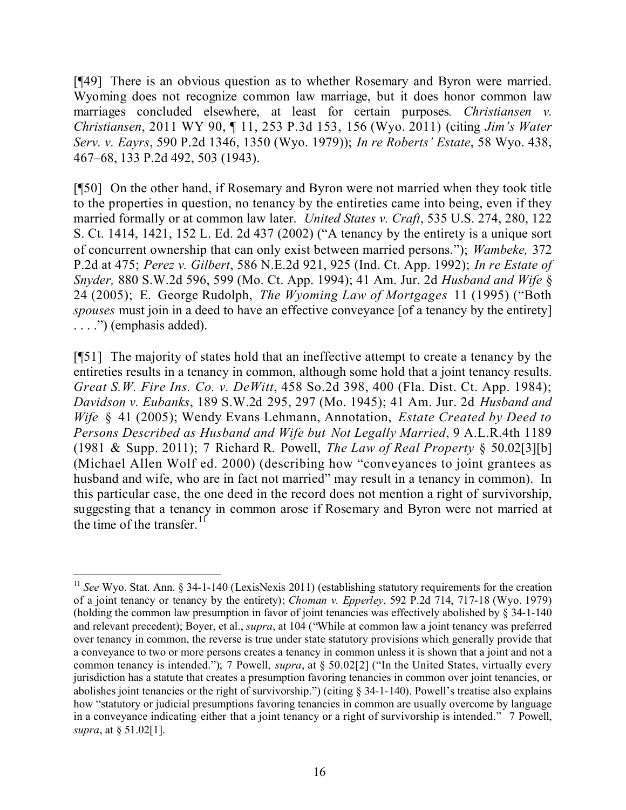[¶49] There is an obvious question as to whether Rosemary and Byron were married. Wyoming does not recognize common law marriage, but it does honor common law marriages concluded elsewhere, at least for certain purposes*. Christiansen v. Christiansen*, 2011 WY 90, ¶ 11, 253 P.3d 153, 156 (Wyo. 2011) (citing *Jim's Water Serv. v. Eayrs*, 590 P.2d 1346, 1350 (Wyo. 1979)); *In re Roberts' Estate*, 58 Wyo. 438, 467–68, 133 P.2d 492, 503 (1943).

[¶50] On the other hand, if Rosemary and Byron were not married when they took title to the properties in question, no tenancy by the entireties came into being, even if they married formally or at common law later. *United States v. Craft*, 535 U.S. 274, 280, 122 S. Ct. 1414, 1421, 152 L. Ed. 2d 437 (2002) ("A tenancy by the entirety is a unique sort of concurrent ownership that can only exist between married persons."); *Wambeke,* 372 P.2d at 475; *Perez v. Gilbert*, 586 N.E.2d 921, 925 (Ind. Ct. App. 1992); *In re Estate of Snyder,* 880 S.W.2d 596, 599 (Mo. Ct. App. 1994); 41 Am. Jur. 2d *Husband and Wife* § 24 (2005); E. George Rudolph, *The Wyoming Law of Mortgages* 11 (1995) ("Both *spouses* must join in a deed to have an effective conveyance [of a tenancy by the entirety] . . . .") (emphasis added).

[¶51] The majority of states hold that an ineffective attempt to create a tenancy by the entireties results in a tenancy in common, although some hold that a joint tenancy results. *Great S.W. Fire Ins. Co. v. DeWitt*, 458 So.2d 398, 400 (Fla. Dist. Ct. App. 1984); *Davidson v. Eubanks*, 189 S.W.2d 295, 297 (Mo. 1945); 41 Am. Jur. 2d *Husband and Wife* § 41 (2005); Wendy Evans Lehmann, Annotation, *Estate Created by Deed to Persons Described as Husband and Wife but Not Legally Married*, 9 A.L.R.4th 1189 (1981 & Supp. 2011); 7 Richard R. Powell, *The Law of Real Property* § 50.02[3][b] (Michael Allen Wolf ed. 2000) (describing how "conveyances to joint grantees as husband and wife, who are in fact not married" may result in a tenancy in common). In this particular case, the one deed in the record does not mention a right of survivorship, suggesting that a tenancy in common arose if Rosemary and Byron were not married at the time of the transfer.<sup>11</sup>

 $\overline{a}$ 

<sup>11</sup> *See* Wyo. Stat. Ann. § 34-1-140 (LexisNexis 2011) (establishing statutory requirements for the creation of a joint tenancy or tenancy by the entirety); *Choman v. Epperley*, 592 P.2d 714, 717-18 (Wyo. 1979) (holding the common law presumption in favor of joint tenancies was effectively abolished by § 34-1-140 and relevant precedent); Boyer, et al., *supra*, at 104 ("While at common law a joint tenancy was preferred over tenancy in common, the reverse is true under state statutory provisions which generally provide that a conveyance to two or more persons creates a tenancy in common unless it is shown that a joint and not a common tenancy is intended."); 7 Powell, *supra*, at § 50.02[2] ("In the United States, virtually every jurisdiction has a statute that creates a presumption favoring tenancies in common over joint tenancies, or abolishes joint tenancies or the right of survivorship.") (citing § 34-1-140). Powell's treatise also explains how "statutory or judicial presumptions favoring tenancies in common are usually overcome by language in a conveyance indicating either that a joint tenancy or a right of survivorship is intended." 7 Powell, *supra*, at § 51.02[1].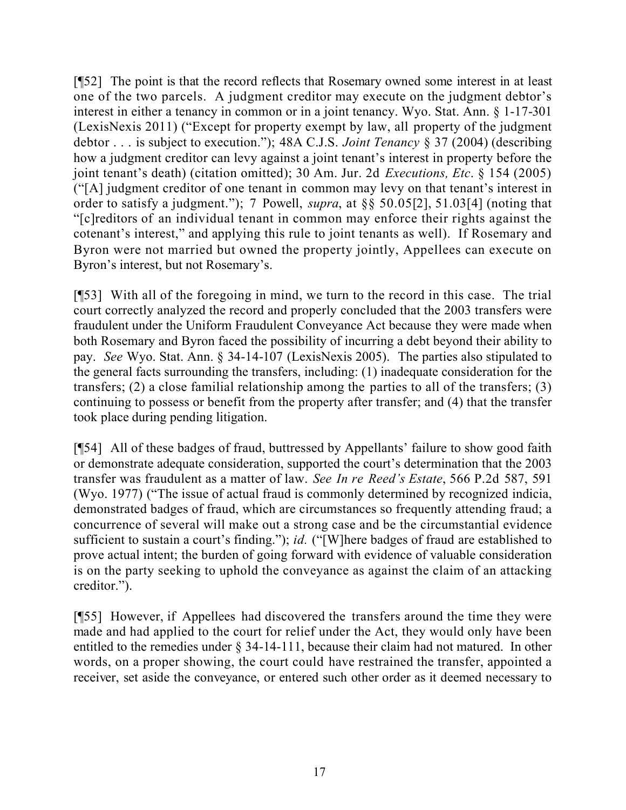[¶52] The point is that the record reflects that Rosemary owned some interest in at least one of the two parcels. A judgment creditor may execute on the judgment debtor's interest in either a tenancy in common or in a joint tenancy. Wyo. Stat. Ann. § 1-17-301 (LexisNexis 2011) ("Except for property exempt by law, all property of the judgment debtor . . . is subject to execution."); 48A C.J.S. *Joint Tenancy* § 37 (2004) (describing how a judgment creditor can levy against a joint tenant's interest in property before the joint tenant's death) (citation omitted); 30 Am. Jur. 2d *Executions, Etc*. § 154 (2005) ("[A] judgment creditor of one tenant in common may levy on that tenant's interest in order to satisfy a judgment."); 7 Powell, *supra*, at §§ 50.05[2], 51.03[4] (noting that "[c]reditors of an individual tenant in common may enforce their rights against the cotenant's interest," and applying this rule to joint tenants as well). If Rosemary and Byron were not married but owned the property jointly, Appellees can execute on Byron's interest, but not Rosemary's.

[¶53] With all of the foregoing in mind, we turn to the record in this case. The trial court correctly analyzed the record and properly concluded that the 2003 transfers were fraudulent under the Uniform Fraudulent Conveyance Act because they were made when both Rosemary and Byron faced the possibility of incurring a debt beyond their ability to pay. *See* Wyo. Stat. Ann. § 34-14-107 (LexisNexis 2005). The parties also stipulated to the general facts surrounding the transfers, including: (1) inadequate consideration for the transfers; (2) a close familial relationship among the parties to all of the transfers; (3) continuing to possess or benefit from the property after transfer; and (4) that the transfer took place during pending litigation.

[¶54] All of these badges of fraud, buttressed by Appellants' failure to show good faith or demonstrate adequate consideration, supported the court's determination that the 2003 transfer was fraudulent as a matter of law. *See In re Reed's Estate*, 566 P.2d 587, 591 (Wyo. 1977) ("The issue of actual fraud is commonly determined by recognized indicia, demonstrated badges of fraud, which are circumstances so frequently attending fraud; a concurrence of several will make out a strong case and be the circumstantial evidence sufficient to sustain a court's finding."); *id.* ("[W]here badges of fraud are established to prove actual intent; the burden of going forward with evidence of valuable consideration is on the party seeking to uphold the conveyance as against the claim of an attacking creditor.").

[¶55] However, if Appellees had discovered the transfers around the time they were made and had applied to the court for relief under the Act, they would only have been entitled to the remedies under § 34-14-111, because their claim had not matured. In other words, on a proper showing, the court could have restrained the transfer, appointed a receiver, set aside the conveyance, or entered such other order as it deemed necessary to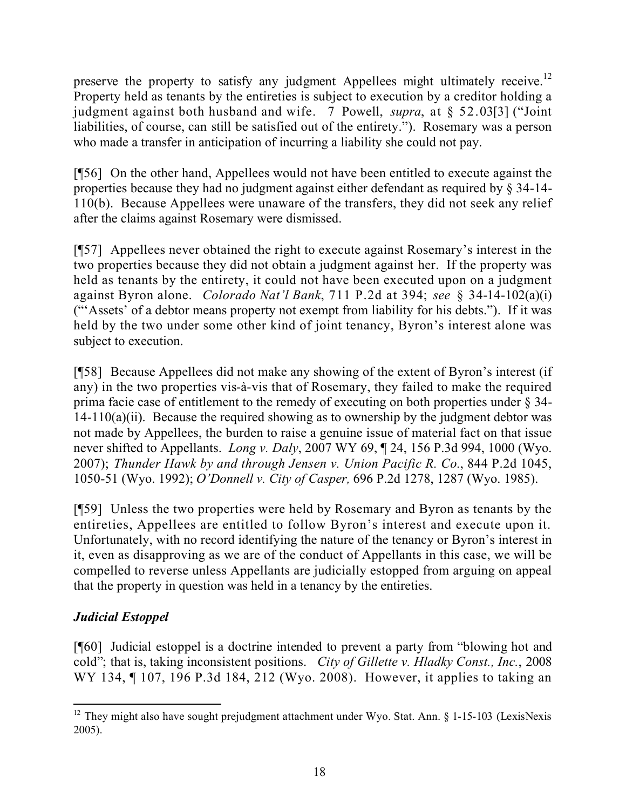preserve the property to satisfy any judgment Appellees might ultimately receive.<sup>12</sup> Property held as tenants by the entireties is subject to execution by a creditor holding a judgment against both husband and wife. 7 Powell, *supra*, at § 52.03[3] ("Joint liabilities, of course, can still be satisfied out of the entirety."). Rosemary was a person who made a transfer in anticipation of incurring a liability she could not pay.

[¶56] On the other hand, Appellees would not have been entitled to execute against the properties because they had no judgment against either defendant as required by § 34-14- 110(b). Because Appellees were unaware of the transfers, they did not seek any relief after the claims against Rosemary were dismissed.

[¶57] Appellees never obtained the right to execute against Rosemary's interest in the two properties because they did not obtain a judgment against her. If the property was held as tenants by the entirety, it could not have been executed upon on a judgment against Byron alone. *Colorado Nat'l Bank*, 711 P.2d at 394; *see* § 34-14-102(a)(i) ("'Assets' of a debtor means property not exempt from liability for his debts."). If it was held by the two under some other kind of joint tenancy, Byron's interest alone was subject to execution.

[¶58] Because Appellees did not make any showing of the extent of Byron's interest (if any) in the two properties vis-à-vis that of Rosemary, they failed to make the required prima facie case of entitlement to the remedy of executing on both properties under § 34-  $14-110(a)(ii)$ . Because the required showing as to ownership by the judgment debtor was not made by Appellees, the burden to raise a genuine issue of material fact on that issue never shifted to Appellants. *Long v. Daly*, 2007 WY 69, ¶ 24, 156 P.3d 994, 1000 (Wyo. 2007); *Thunder Hawk by and through Jensen v. Union Pacific R. Co.*, 844 P.2d 1045, 1050-51 (Wyo. 1992); *O'Donnell v. City of Casper,* 696 P.2d 1278, 1287 (Wyo. 1985).

[¶59] Unless the two properties were held by Rosemary and Byron as tenants by the entireties, Appellees are entitled to follow Byron's interest and execute upon it. Unfortunately, with no record identifying the nature of the tenancy or Byron's interest in it, even as disapproving as we are of the conduct of Appellants in this case, we will be compelled to reverse unless Appellants are judicially estopped from arguing on appeal that the property in question was held in a tenancy by the entireties.

# *Judicial Estoppel*

[¶60] Judicial estoppel is a doctrine intended to prevent a party from "blowing hot and cold"; that is, taking inconsistent positions. *City of Gillette v. Hladky Const., Inc.*, 2008 WY 134, ¶ 107, 196 P.3d 184, 212 (Wyo. 2008). However, it applies to taking an

 $\overline{a}$  $12$  They might also have sought prejudgment attachment under Wyo. Stat. Ann. § 1-15-103 (LexisNexis 2005).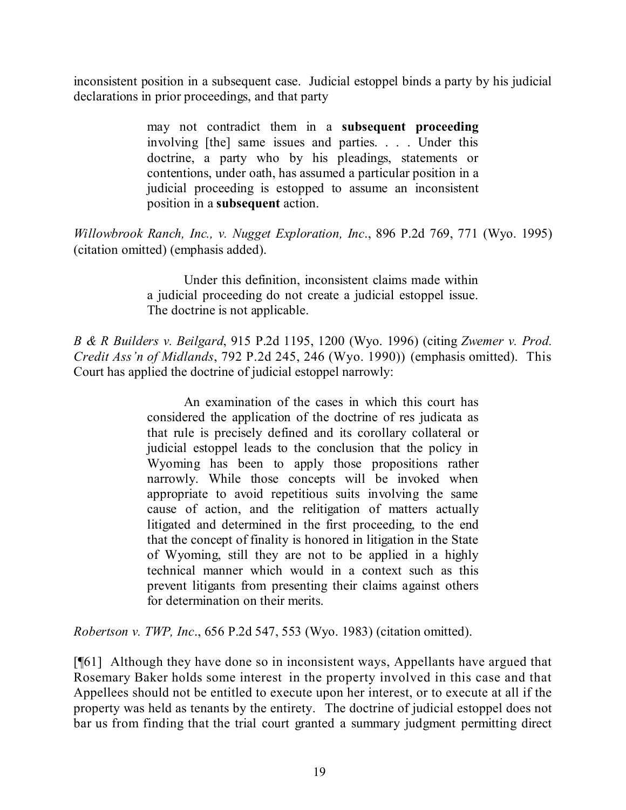inconsistent position in a subsequent case. Judicial estoppel binds a party by his judicial declarations in prior proceedings, and that party

> may not contradict them in a **subsequent proceeding** involving [the] same issues and parties. . . . Under this doctrine, a party who by his pleadings, statements or contentions, under oath, has assumed a particular position in a judicial proceeding is estopped to assume an inconsistent position in a **subsequent** action.

*Willowbrook Ranch, Inc., v. Nugget Exploration, Inc*., 896 P.2d 769, 771 (Wyo. 1995) (citation omitted) (emphasis added).

> Under this definition, inconsistent claims made within a judicial proceeding do not create a judicial estoppel issue. The doctrine is not applicable.

*B & R Builders v. Beilgard*, 915 P.2d 1195, 1200 (Wyo. 1996) (citing *Zwemer v. Prod. Credit Ass'n of Midlands*, 792 P.2d 245, 246 (Wyo. 1990)) (emphasis omitted). This Court has applied the doctrine of judicial estoppel narrowly:

> An examination of the cases in which this court has considered the application of the doctrine of res judicata as that rule is precisely defined and its corollary collateral or judicial estoppel leads to the conclusion that the policy in Wyoming has been to apply those propositions rather narrowly. While those concepts will be invoked when appropriate to avoid repetitious suits involving the same cause of action, and the relitigation of matters actually litigated and determined in the first proceeding, to the end that the concept of finality is honored in litigation in the State of Wyoming, still they are not to be applied in a highly technical manner which would in a context such as this prevent litigants from presenting their claims against others for determination on their merits.

*Robertson v. TWP, Inc*., 656 P.2d 547, 553 (Wyo. 1983) (citation omitted).

[¶61] Although they have done so in inconsistent ways, Appellants have argued that Rosemary Baker holds some interest in the property involved in this case and that Appellees should not be entitled to execute upon her interest, or to execute at all if the property was held as tenants by the entirety. The doctrine of judicial estoppel does not bar us from finding that the trial court granted a summary judgment permitting direct